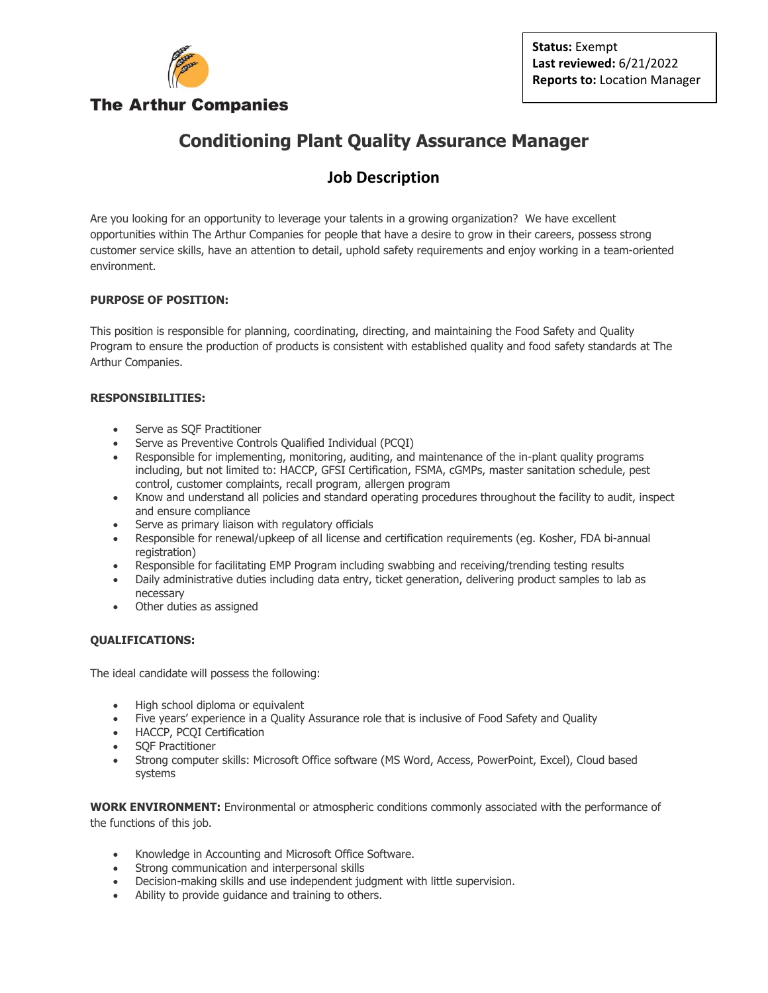

# **Conditioning Plant Quality Assurance Manager**

# **Job Description**

Are you looking for an opportunity to leverage your talents in a growing organization? We have excellent opportunities within The Arthur Companies for people that have a desire to grow in their careers, possess strong customer service skills, have an attention to detail, uphold safety requirements and enjoy working in a team-oriented environment.

### **PURPOSE OF POSITION:**

This position is responsible for planning, coordinating, directing, and maintaining the Food Safety and Quality Program to ensure the production of products is consistent with established quality and food safety standards at The Arthur Companies.

### **RESPONSIBILITIES:**

- Serve as SQF Practitioner
- Serve as Preventive Controls Qualified Individual (PCQI)
- Responsible for implementing, monitoring, auditing, and maintenance of the in-plant quality programs including, but not limited to: HACCP, GFSI Certification, FSMA, cGMPs, master sanitation schedule, pest control, customer complaints, recall program, allergen program
- Know and understand all policies and standard operating procedures throughout the facility to audit, inspect and ensure compliance
- Serve as primary liaison with regulatory officials
- Responsible for renewal/upkeep of all license and certification requirements (eg. Kosher, FDA bi-annual registration)
- Responsible for facilitating EMP Program including swabbing and receiving/trending testing results
- Daily administrative duties including data entry, ticket generation, delivering product samples to lab as necessary
- Other duties as assigned

### **QUALIFICATIONS:**

The ideal candidate will possess the following:

- High school diploma or equivalent
- Five years' experience in a Quality Assurance role that is inclusive of Food Safety and Quality
- HACCP, PCQI Certification
- SQF Practitioner
- Strong computer skills: Microsoft Office software (MS Word, Access, PowerPoint, Excel), Cloud based systems

**WORK ENVIRONMENT:** Environmental or atmospheric conditions commonly associated with the performance of the functions of this job.

- Knowledge in Accounting and Microsoft Office Software.
- Strong communication and interpersonal skills
- Decision-making skills and use independent judgment with little supervision.
- Ability to provide guidance and training to others.